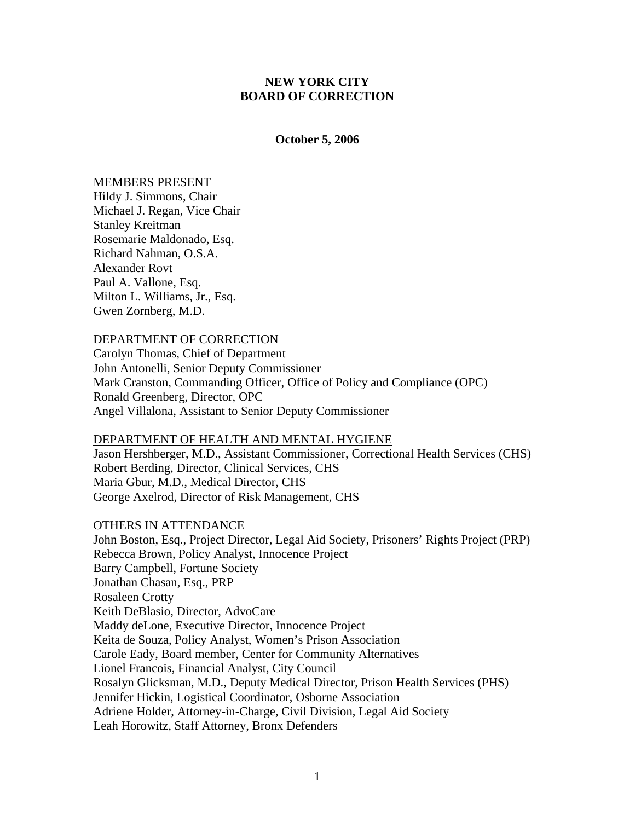# **NEW YORK CITY BOARD OF CORRECTION**

### **October 5, 2006**

### MEMBERS PRESENT

Hildy J. Simmons, Chair Michael J. Regan, Vice Chair Stanley Kreitman Rosemarie Maldonado, Esq. Richard Nahman, O.S.A. Alexander Rovt Paul A. Vallone, Esq. Milton L. Williams, Jr., Esq. Gwen Zornberg, M.D.

#### DEPARTMENT OF CORRECTION

Carolyn Thomas, Chief of Department John Antonelli, Senior Deputy Commissioner Mark Cranston, Commanding Officer, Office of Policy and Compliance (OPC) Ronald Greenberg, Director, OPC Angel Villalona, Assistant to Senior Deputy Commissioner

## DEPARTMENT OF HEALTH AND MENTAL HYGIENE

Jason Hershberger, M.D., Assistant Commissioner, Correctional Health Services (CHS) Robert Berding, Director, Clinical Services, CHS Maria Gbur, M.D., Medical Director, CHS George Axelrod, Director of Risk Management, CHS

# OTHERS IN ATTENDANCE

John Boston, Esq., Project Director, Legal Aid Society, Prisoners' Rights Project (PRP) Rebecca Brown, Policy Analyst, Innocence Project Barry Campbell, Fortune Society Jonathan Chasan, Esq., PRP Rosaleen Crotty Keith DeBlasio, Director, AdvoCare Maddy deLone, Executive Director, Innocence Project Keita de Souza, Policy Analyst, Women's Prison Association Carole Eady, Board member, Center for Community Alternatives Lionel Francois, Financial Analyst, City Council Rosalyn Glicksman, M.D., Deputy Medical Director, Prison Health Services (PHS) Jennifer Hickin, Logistical Coordinator, Osborne Association Adriene Holder, Attorney-in-Charge, Civil Division, Legal Aid Society Leah Horowitz, Staff Attorney, Bronx Defenders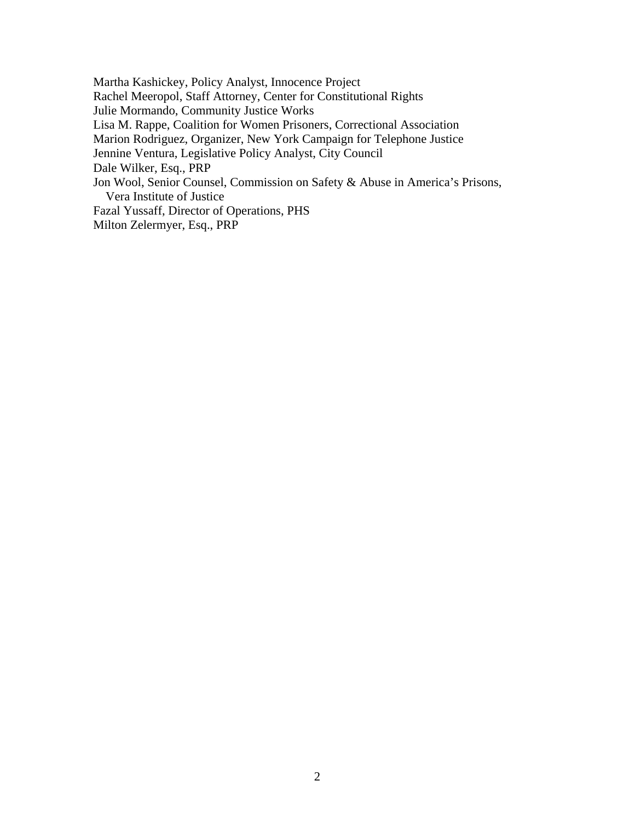Martha Kashickey, Policy Analyst, Innocence Project Rachel Meeropol, Staff Attorney, Center for Constitutional Rights Julie Mormando, Community Justice Works Lisa M. Rappe, Coalition for Women Prisoners, Correctional Association Marion Rodriguez, Organizer, New York Campaign for Telephone Justice Jennine Ventura, Legislative Policy Analyst, City Council Dale Wilker, Esq., PRP Jon Wool, Senior Counsel, Commission on Safety & Abuse in America's Prisons, Vera Institute of Justice Fazal Yussaff, Director of Operations, PHS Milton Zelermyer, Esq., PRP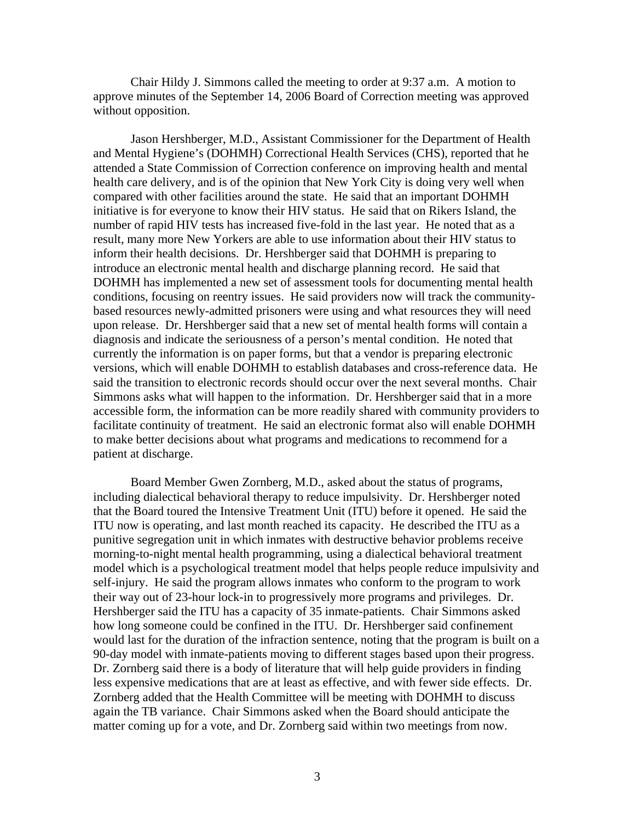Chair Hildy J. Simmons called the meeting to order at 9:37 a.m. A motion to approve minutes of the September 14, 2006 Board of Correction meeting was approved without opposition.

 Jason Hershberger, M.D., Assistant Commissioner for the Department of Health and Mental Hygiene's (DOHMH) Correctional Health Services (CHS), reported that he attended a State Commission of Correction conference on improving health and mental health care delivery, and is of the opinion that New York City is doing very well when compared with other facilities around the state. He said that an important DOHMH initiative is for everyone to know their HIV status. He said that on Rikers Island, the number of rapid HIV tests has increased five-fold in the last year. He noted that as a result, many more New Yorkers are able to use information about their HIV status to inform their health decisions. Dr. Hershberger said that DOHMH is preparing to introduce an electronic mental health and discharge planning record. He said that DOHMH has implemented a new set of assessment tools for documenting mental health conditions, focusing on reentry issues. He said providers now will track the communitybased resources newly-admitted prisoners were using and what resources they will need upon release. Dr. Hershberger said that a new set of mental health forms will contain a diagnosis and indicate the seriousness of a person's mental condition. He noted that currently the information is on paper forms, but that a vendor is preparing electronic versions, which will enable DOHMH to establish databases and cross-reference data. He said the transition to electronic records should occur over the next several months. Chair Simmons asks what will happen to the information. Dr. Hershberger said that in a more accessible form, the information can be more readily shared with community providers to facilitate continuity of treatment. He said an electronic format also will enable DOHMH to make better decisions about what programs and medications to recommend for a patient at discharge.

Board Member Gwen Zornberg, M.D., asked about the status of programs, including dialectical behavioral therapy to reduce impulsivity. Dr. Hershberger noted that the Board toured the Intensive Treatment Unit (ITU) before it opened. He said the ITU now is operating, and last month reached its capacity. He described the ITU as a punitive segregation unit in which inmates with destructive behavior problems receive morning-to-night mental health programming, using a dialectical behavioral treatment model which is a psychological treatment model that helps people reduce impulsivity and self-injury. He said the program allows inmates who conform to the program to work their way out of 23-hour lock-in to progressively more programs and privileges. Dr. Hershberger said the ITU has a capacity of 35 inmate-patients. Chair Simmons asked how long someone could be confined in the ITU. Dr. Hershberger said confinement would last for the duration of the infraction sentence, noting that the program is built on a 90-day model with inmate-patients moving to different stages based upon their progress. Dr. Zornberg said there is a body of literature that will help guide providers in finding less expensive medications that are at least as effective, and with fewer side effects. Dr. Zornberg added that the Health Committee will be meeting with DOHMH to discuss again the TB variance. Chair Simmons asked when the Board should anticipate the matter coming up for a vote, and Dr. Zornberg said within two meetings from now.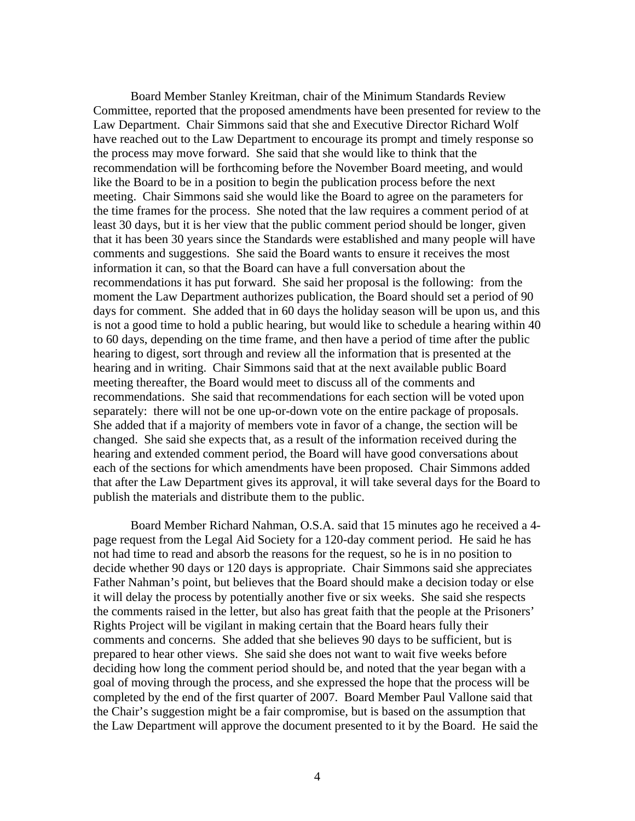Board Member Stanley Kreitman, chair of the Minimum Standards Review Committee, reported that the proposed amendments have been presented for review to the Law Department. Chair Simmons said that she and Executive Director Richard Wolf have reached out to the Law Department to encourage its prompt and timely response so the process may move forward. She said that she would like to think that the recommendation will be forthcoming before the November Board meeting, and would like the Board to be in a position to begin the publication process before the next meeting. Chair Simmons said she would like the Board to agree on the parameters for the time frames for the process. She noted that the law requires a comment period of at least 30 days, but it is her view that the public comment period should be longer, given that it has been 30 years since the Standards were established and many people will have comments and suggestions. She said the Board wants to ensure it receives the most information it can, so that the Board can have a full conversation about the recommendations it has put forward. She said her proposal is the following: from the moment the Law Department authorizes publication, the Board should set a period of 90 days for comment. She added that in 60 days the holiday season will be upon us, and this is not a good time to hold a public hearing, but would like to schedule a hearing within 40 to 60 days, depending on the time frame, and then have a period of time after the public hearing to digest, sort through and review all the information that is presented at the hearing and in writing. Chair Simmons said that at the next available public Board meeting thereafter, the Board would meet to discuss all of the comments and recommendations. She said that recommendations for each section will be voted upon separately: there will not be one up-or-down vote on the entire package of proposals. She added that if a majority of members vote in favor of a change, the section will be changed. She said she expects that, as a result of the information received during the hearing and extended comment period, the Board will have good conversations about each of the sections for which amendments have been proposed. Chair Simmons added that after the Law Department gives its approval, it will take several days for the Board to publish the materials and distribute them to the public.

Board Member Richard Nahman, O.S.A. said that 15 minutes ago he received a 4 page request from the Legal Aid Society for a 120-day comment period. He said he has not had time to read and absorb the reasons for the request, so he is in no position to decide whether 90 days or 120 days is appropriate. Chair Simmons said she appreciates Father Nahman's point, but believes that the Board should make a decision today or else it will delay the process by potentially another five or six weeks. She said she respects the comments raised in the letter, but also has great faith that the people at the Prisoners' Rights Project will be vigilant in making certain that the Board hears fully their comments and concerns. She added that she believes 90 days to be sufficient, but is prepared to hear other views. She said she does not want to wait five weeks before deciding how long the comment period should be, and noted that the year began with a goal of moving through the process, and she expressed the hope that the process will be completed by the end of the first quarter of 2007. Board Member Paul Vallone said that the Chair's suggestion might be a fair compromise, but is based on the assumption that the Law Department will approve the document presented to it by the Board. He said the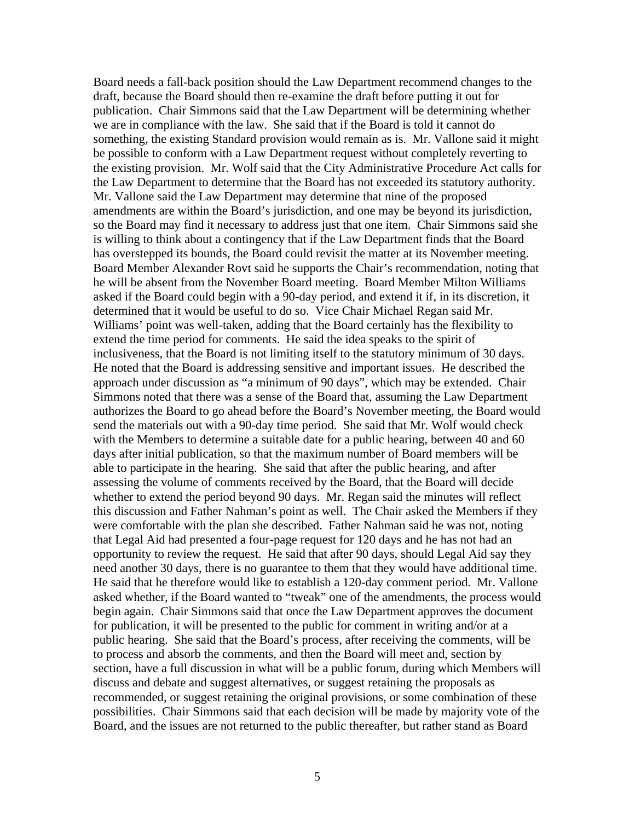Board needs a fall-back position should the Law Department recommend changes to the draft, because the Board should then re-examine the draft before putting it out for publication. Chair Simmons said that the Law Department will be determining whether we are in compliance with the law. She said that if the Board is told it cannot do something, the existing Standard provision would remain as is. Mr. Vallone said it might be possible to conform with a Law Department request without completely reverting to the existing provision. Mr. Wolf said that the City Administrative Procedure Act calls for the Law Department to determine that the Board has not exceeded its statutory authority. Mr. Vallone said the Law Department may determine that nine of the proposed amendments are within the Board's jurisdiction, and one may be beyond its jurisdiction, so the Board may find it necessary to address just that one item. Chair Simmons said she is willing to think about a contingency that if the Law Department finds that the Board has overstepped its bounds, the Board could revisit the matter at its November meeting. Board Member Alexander Rovt said he supports the Chair's recommendation, noting that he will be absent from the November Board meeting. Board Member Milton Williams asked if the Board could begin with a 90-day period, and extend it if, in its discretion, it determined that it would be useful to do so. Vice Chair Michael Regan said Mr. Williams' point was well-taken, adding that the Board certainly has the flexibility to extend the time period for comments. He said the idea speaks to the spirit of inclusiveness, that the Board is not limiting itself to the statutory minimum of 30 days. He noted that the Board is addressing sensitive and important issues. He described the approach under discussion as "a minimum of 90 days", which may be extended. Chair Simmons noted that there was a sense of the Board that, assuming the Law Department authorizes the Board to go ahead before the Board's November meeting, the Board would send the materials out with a 90-day time period. She said that Mr. Wolf would check with the Members to determine a suitable date for a public hearing, between 40 and 60 days after initial publication, so that the maximum number of Board members will be able to participate in the hearing. She said that after the public hearing, and after assessing the volume of comments received by the Board, that the Board will decide whether to extend the period beyond 90 days. Mr. Regan said the minutes will reflect this discussion and Father Nahman's point as well. The Chair asked the Members if they were comfortable with the plan she described. Father Nahman said he was not, noting that Legal Aid had presented a four-page request for 120 days and he has not had an opportunity to review the request. He said that after 90 days, should Legal Aid say they need another 30 days, there is no guarantee to them that they would have additional time. He said that he therefore would like to establish a 120-day comment period. Mr. Vallone asked whether, if the Board wanted to "tweak" one of the amendments, the process would begin again. Chair Simmons said that once the Law Department approves the document for publication, it will be presented to the public for comment in writing and/or at a public hearing. She said that the Board's process, after receiving the comments, will be to process and absorb the comments, and then the Board will meet and, section by section, have a full discussion in what will be a public forum, during which Members will discuss and debate and suggest alternatives, or suggest retaining the proposals as recommended, or suggest retaining the original provisions, or some combination of these possibilities. Chair Simmons said that each decision will be made by majority vote of the Board, and the issues are not returned to the public thereafter, but rather stand as Board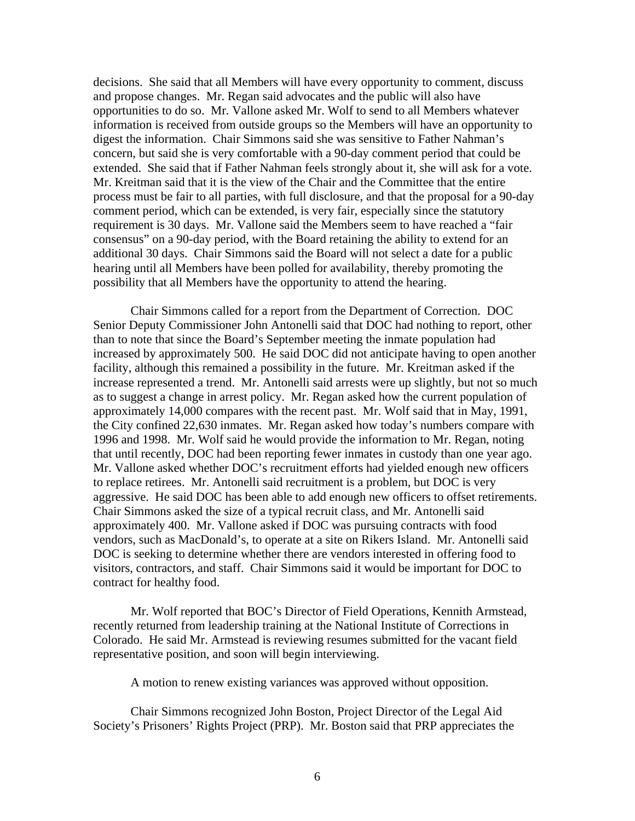decisions. She said that all Members will have every opportunity to comment, discuss and propose changes. Mr. Regan said advocates and the public will also have opportunities to do so. Mr. Vallone asked Mr. Wolf to send to all Members whatever information is received from outside groups so the Members will have an opportunity to digest the information. Chair Simmons said she was sensitive to Father Nahman's concern, but said she is very comfortable with a 90-day comment period that could be extended. She said that if Father Nahman feels strongly about it, she will ask for a vote. Mr. Kreitman said that it is the view of the Chair and the Committee that the entire process must be fair to all parties, with full disclosure, and that the proposal for a 90-day comment period, which can be extended, is very fair, especially since the statutory requirement is 30 days. Mr. Vallone said the Members seem to have reached a "fair consensus" on a 90-day period, with the Board retaining the ability to extend for an additional 30 days. Chair Simmons said the Board will not select a date for a public hearing until all Members have been polled for availability, thereby promoting the possibility that all Members have the opportunity to attend the hearing.

Chair Simmons called for a report from the Department of Correction. DOC Senior Deputy Commissioner John Antonelli said that DOC had nothing to report, other than to note that since the Board's September meeting the inmate population had increased by approximately 500. He said DOC did not anticipate having to open another facility, although this remained a possibility in the future. Mr. Kreitman asked if the increase represented a trend. Mr. Antonelli said arrests were up slightly, but not so much as to suggest a change in arrest policy. Mr. Regan asked how the current population of approximately 14,000 compares with the recent past. Mr. Wolf said that in May, 1991, the City confined 22,630 inmates. Mr. Regan asked how today's numbers compare with 1996 and 1998. Mr. Wolf said he would provide the information to Mr. Regan, noting that until recently, DOC had been reporting fewer inmates in custody than one year ago. Mr. Vallone asked whether DOC's recruitment efforts had yielded enough new officers to replace retirees. Mr. Antonelli said recruitment is a problem, but DOC is very aggressive. He said DOC has been able to add enough new officers to offset retirements. Chair Simmons asked the size of a typical recruit class, and Mr. Antonelli said approximately 400. Mr. Vallone asked if DOC was pursuing contracts with food vendors, such as MacDonald's, to operate at a site on Rikers Island. Mr. Antonelli said DOC is seeking to determine whether there are vendors interested in offering food to visitors, contractors, and staff. Chair Simmons said it would be important for DOC to contract for healthy food.

Mr. Wolf reported that BOC's Director of Field Operations, Kennith Armstead, recently returned from leadership training at the National Institute of Corrections in Colorado. He said Mr. Armstead is reviewing resumes submitted for the vacant field representative position, and soon will begin interviewing.

A motion to renew existing variances was approved without opposition.

Chair Simmons recognized John Boston, Project Director of the Legal Aid Society's Prisoners' Rights Project (PRP). Mr. Boston said that PRP appreciates the